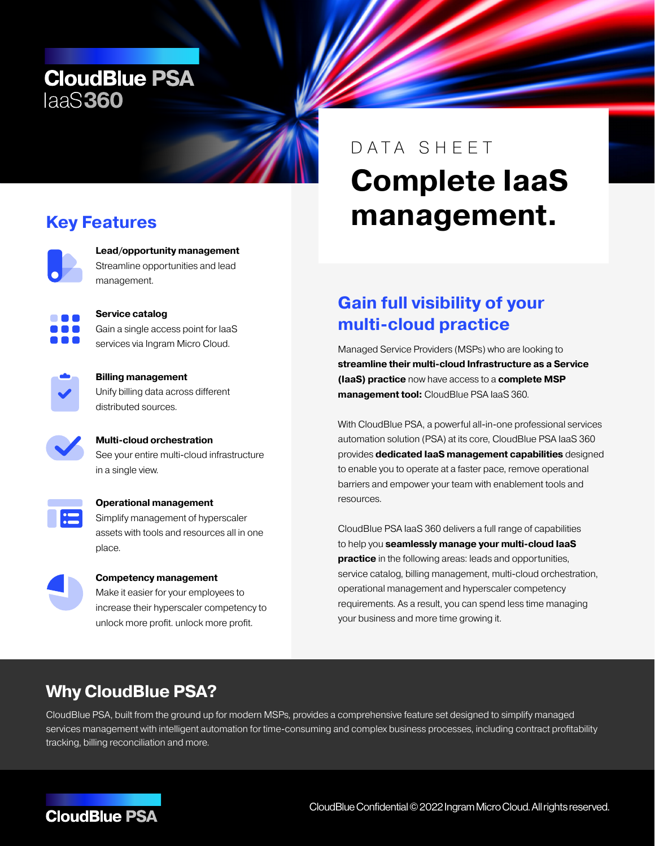## **CloudBlue PSA** laaS360

## **Key Features**

**Lead/opportunity management** Streamline opportunities and lead management.



**Service catalog** Gain a single access point for IaaS services via Ingram Micro Cloud.



**Billing management** Unify billing data across different distributed sources.



**Multi-cloud orchestration** See your entire multi-cloud infrastructure in a single view.



#### **Operational management** Simplify management of hyperscaler

assets with tools and resources all in one place.



#### **Competency management**

Make it easier for your employees to increase their hyperscaler competency to unlock more profit. unlock more profit.

# **Complete IaaS management.** DATA SHEET

## **Gain full visibility of your multi-cloud practice**

Managed Service Providers (MSPs) who are looking to **streamline their multi-cloud Infrastructure as a Service (IaaS) practice** now have access to a **complete MSP management tool:** CloudBlue PSA IaaS 360.

With CloudBlue PSA, a powerful all-in-one professional services automation solution (PSA) at its core, CloudBlue PSA IaaS 360 provides **dedicated IaaS management capabilities** designed to enable you to operate at a faster pace, remove operational barriers and empower your team with enablement tools and resources.

CloudBlue PSA IaaS 360 delivers a full range of capabilities to help you **seamlessly manage your multi-cloud IaaS practice** in the following areas: leads and opportunities, service catalog, billing management, multi-cloud orchestration, operational management and hyperscaler competency requirements. As a result, you can spend less time managing your business and more time growing it.

## **Why CloudBlue PSA?**

CloudBlue PSA, built from the ground up for modern MSPs, provides a comprehensive feature set designed to simplify managed services management with intelligent automation for time-consuming and complex business processes, including contract profitability tracking, billing reconciliation and more.